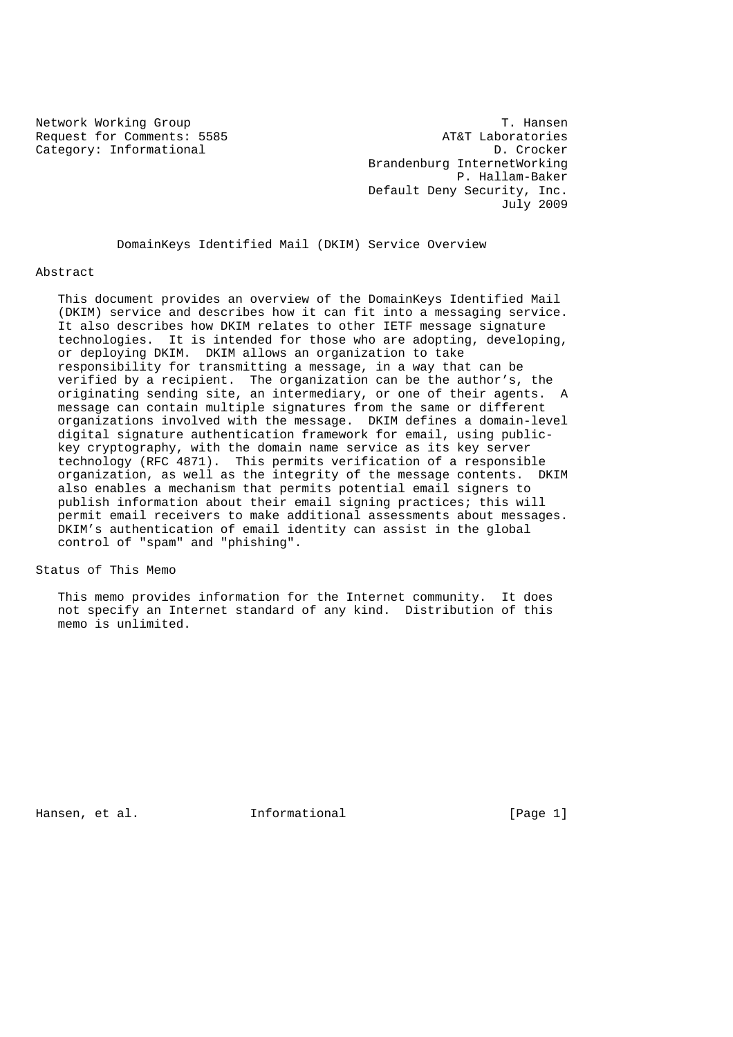Request for Comments: 5585

Network Working Group<br>Request for Comments: 5585 The Comments: 5585 AT&T Laboratories Category: Informational D. Crocker Brandenburg InternetWorking P. Hallam-Baker Default Deny Security, Inc. July 2009

DomainKeys Identified Mail (DKIM) Service Overview

#### Abstract

 This document provides an overview of the DomainKeys Identified Mail (DKIM) service and describes how it can fit into a messaging service. It also describes how DKIM relates to other IETF message signature technologies. It is intended for those who are adopting, developing, or deploying DKIM. DKIM allows an organization to take responsibility for transmitting a message, in a way that can be verified by a recipient. The organization can be the author's, the originating sending site, an intermediary, or one of their agents. A message can contain multiple signatures from the same or different organizations involved with the message. DKIM defines a domain-level digital signature authentication framework for email, using public key cryptography, with the domain name service as its key server technology (RFC 4871). This permits verification of a responsible organization, as well as the integrity of the message contents. DKIM also enables a mechanism that permits potential email signers to publish information about their email signing practices; this will permit email receivers to make additional assessments about messages. DKIM's authentication of email identity can assist in the global control of "spam" and "phishing".

Status of This Memo

 This memo provides information for the Internet community. It does not specify an Internet standard of any kind. Distribution of this memo is unlimited.

Hansen, et al. 1nformational [Page 1]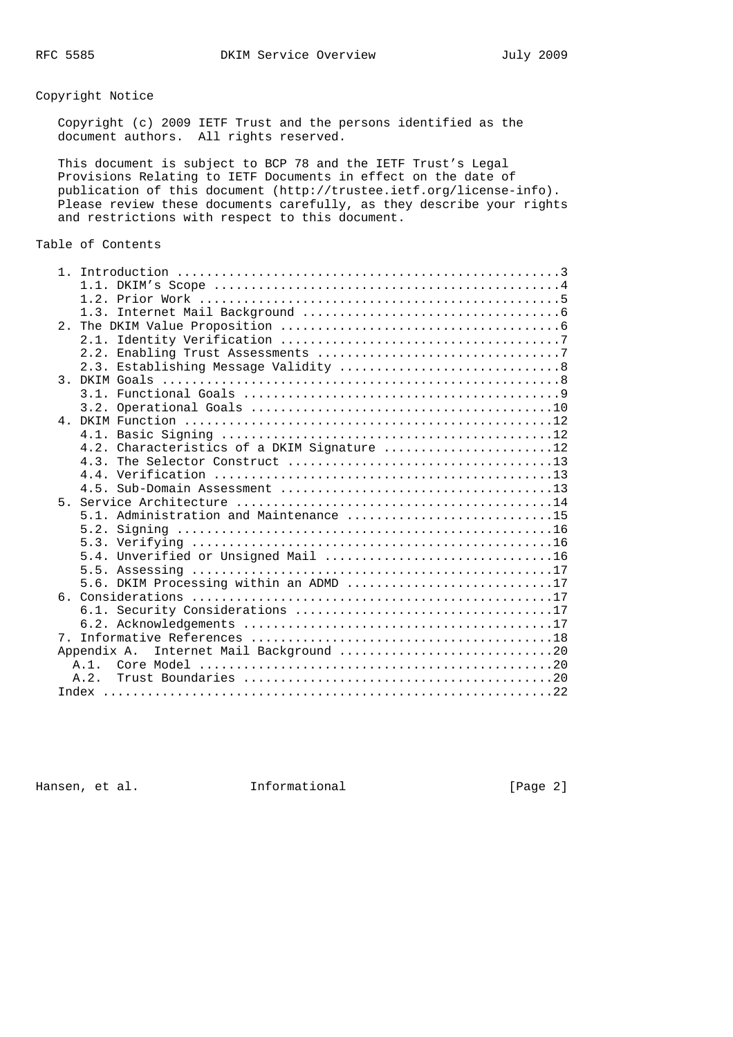Copyright Notice

 Copyright (c) 2009 IETF Trust and the persons identified as the document authors. All rights reserved.

 This document is subject to BCP 78 and the IETF Trust's Legal Provisions Relating to IETF Documents in effect on the date of publication of this document (http://trustee.ietf.org/license-info). Please review these documents carefully, as they describe your rights and restrictions with respect to this document.

# Table of Contents

|                                            | 4.2. Characteristics of a DKIM Signature 12 |  |
|--------------------------------------------|---------------------------------------------|--|
|                                            |                                             |  |
|                                            |                                             |  |
|                                            |                                             |  |
|                                            |                                             |  |
|                                            | 5.1. Administration and Maintenance 15      |  |
|                                            |                                             |  |
|                                            |                                             |  |
|                                            |                                             |  |
|                                            |                                             |  |
|                                            | 5.6. DKIM Processing within an ADMD 17      |  |
|                                            |                                             |  |
|                                            |                                             |  |
|                                            |                                             |  |
|                                            |                                             |  |
| Internet Mail Background 20<br>Appendix A. |                                             |  |
|                                            |                                             |  |
|                                            | A.2.                                        |  |
|                                            |                                             |  |

Hansen, et al. 1nformational 1999 [Page 2]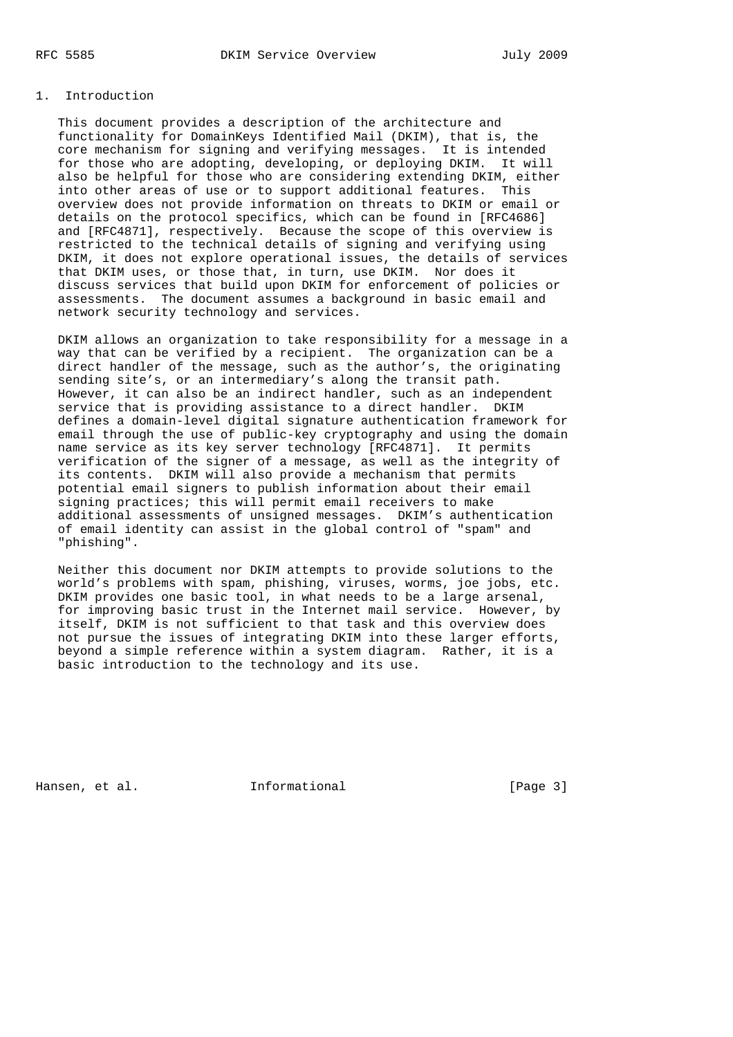### 1. Introduction

 This document provides a description of the architecture and functionality for DomainKeys Identified Mail (DKIM), that is, the core mechanism for signing and verifying messages. It is intended for those who are adopting, developing, or deploying DKIM. It will also be helpful for those who are considering extending DKIM, either into other areas of use or to support additional features. This overview does not provide information on threats to DKIM or email or details on the protocol specifics, which can be found in [RFC4686] and [RFC4871], respectively. Because the scope of this overview is restricted to the technical details of signing and verifying using DKIM, it does not explore operational issues, the details of services that DKIM uses, or those that, in turn, use DKIM. Nor does it discuss services that build upon DKIM for enforcement of policies or assessments. The document assumes a background in basic email and network security technology and services.

 DKIM allows an organization to take responsibility for a message in a way that can be verified by a recipient. The organization can be a direct handler of the message, such as the author's, the originating sending site's, or an intermediary's along the transit path. However, it can also be an indirect handler, such as an independent service that is providing assistance to a direct handler. DKIM defines a domain-level digital signature authentication framework for email through the use of public-key cryptography and using the domain name service as its key server technology [RFC4871]. It permits verification of the signer of a message, as well as the integrity of its contents. DKIM will also provide a mechanism that permits potential email signers to publish information about their email signing practices; this will permit email receivers to make additional assessments of unsigned messages. DKIM's authentication of email identity can assist in the global control of "spam" and "phishing".

 Neither this document nor DKIM attempts to provide solutions to the world's problems with spam, phishing, viruses, worms, joe jobs, etc. DKIM provides one basic tool, in what needs to be a large arsenal, for improving basic trust in the Internet mail service. However, by itself, DKIM is not sufficient to that task and this overview does not pursue the issues of integrating DKIM into these larger efforts, beyond a simple reference within a system diagram. Rather, it is a basic introduction to the technology and its use.

Hansen, et al. 1nformational 1999 [Page 3]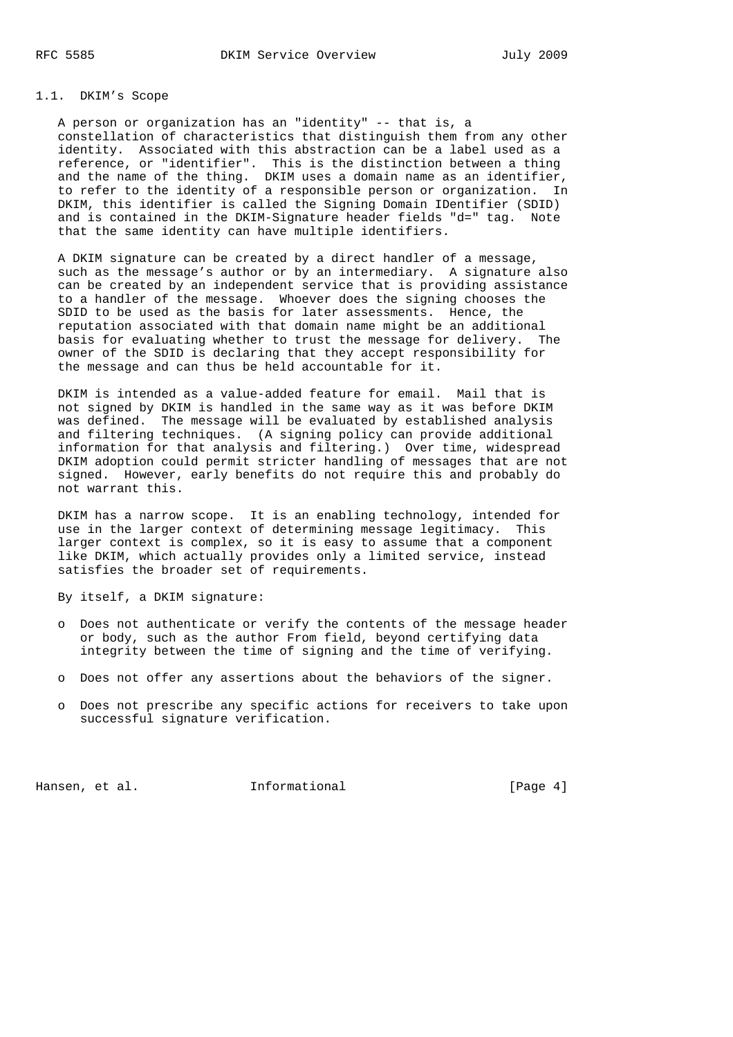## 1.1. DKIM's Scope

 A person or organization has an "identity" -- that is, a constellation of characteristics that distinguish them from any other identity. Associated with this abstraction can be a label used as a reference, or "identifier". This is the distinction between a thing and the name of the thing. DKIM uses a domain name as an identifier, to refer to the identity of a responsible person or organization. In DKIM, this identifier is called the Signing Domain IDentifier (SDID) and is contained in the DKIM-Signature header fields "d=" tag. Note that the same identity can have multiple identifiers.

 A DKIM signature can be created by a direct handler of a message, such as the message's author or by an intermediary. A signature also can be created by an independent service that is providing assistance to a handler of the message. Whoever does the signing chooses the SDID to be used as the basis for later assessments. Hence, the reputation associated with that domain name might be an additional basis for evaluating whether to trust the message for delivery. The owner of the SDID is declaring that they accept responsibility for the message and can thus be held accountable for it.

 DKIM is intended as a value-added feature for email. Mail that is not signed by DKIM is handled in the same way as it was before DKIM was defined. The message will be evaluated by established analysis and filtering techniques. (A signing policy can provide additional information for that analysis and filtering.) Over time, widespread DKIM adoption could permit stricter handling of messages that are not signed. However, early benefits do not require this and probably do not warrant this.

 DKIM has a narrow scope. It is an enabling technology, intended for use in the larger context of determining message legitimacy. This larger context is complex, so it is easy to assume that a component like DKIM, which actually provides only a limited service, instead satisfies the broader set of requirements.

By itself, a DKIM signature:

- o Does not authenticate or verify the contents of the message header or body, such as the author From field, beyond certifying data integrity between the time of signing and the time of verifying.
- o Does not offer any assertions about the behaviors of the signer.
- o Does not prescribe any specific actions for receivers to take upon successful signature verification.

Hansen, et al. 100 Informational 100 Informational [Page 4]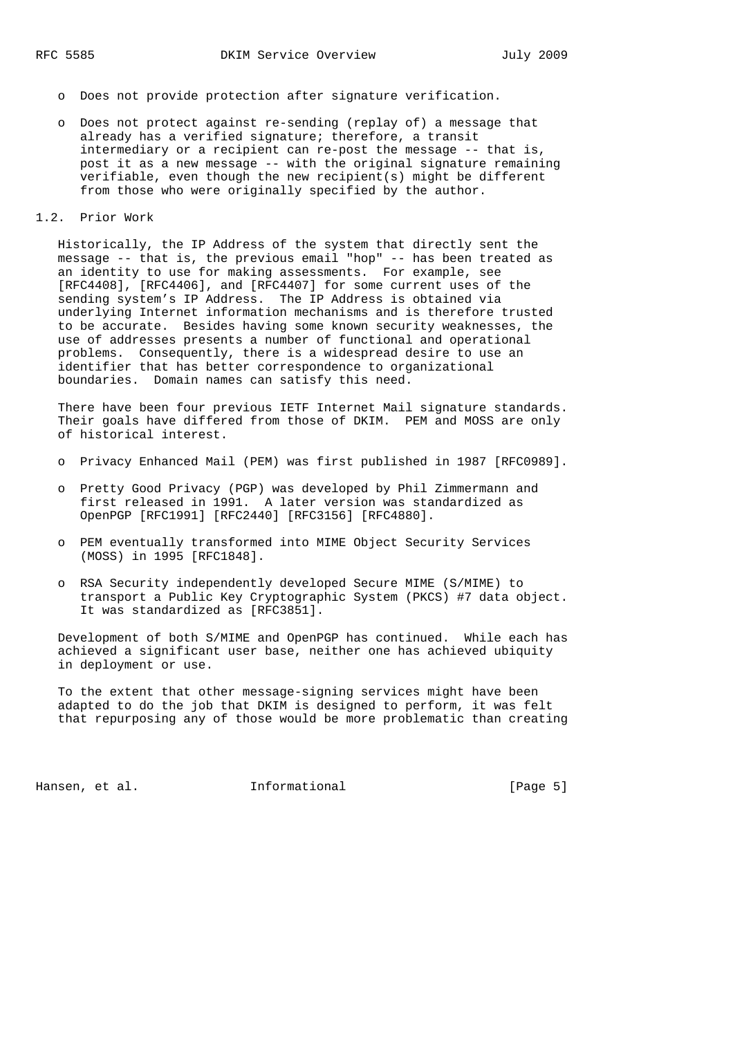- o Does not provide protection after signature verification.
- o Does not protect against re-sending (replay of) a message that already has a verified signature; therefore, a transit intermediary or a recipient can re-post the message -- that is, post it as a new message -- with the original signature remaining verifiable, even though the new recipient(s) might be different from those who were originally specified by the author.
- 1.2. Prior Work

 Historically, the IP Address of the system that directly sent the message -- that is, the previous email "hop" -- has been treated as an identity to use for making assessments. For example, see [RFC4408], [RFC4406], and [RFC4407] for some current uses of the sending system's IP Address. The IP Address is obtained via underlying Internet information mechanisms and is therefore trusted to be accurate. Besides having some known security weaknesses, the use of addresses presents a number of functional and operational problems. Consequently, there is a widespread desire to use an identifier that has better correspondence to organizational boundaries. Domain names can satisfy this need.

 There have been four previous IETF Internet Mail signature standards. Their goals have differed from those of DKIM. PEM and MOSS are only of historical interest.

- o Privacy Enhanced Mail (PEM) was first published in 1987 [RFC0989].
- o Pretty Good Privacy (PGP) was developed by Phil Zimmermann and first released in 1991. A later version was standardized as OpenPGP [RFC1991] [RFC2440] [RFC3156] [RFC4880].
- o PEM eventually transformed into MIME Object Security Services (MOSS) in 1995 [RFC1848].
- o RSA Security independently developed Secure MIME (S/MIME) to transport a Public Key Cryptographic System (PKCS) #7 data object. It was standardized as [RFC3851].

 Development of both S/MIME and OpenPGP has continued. While each has achieved a significant user base, neither one has achieved ubiquity in deployment or use.

 To the extent that other message-signing services might have been adapted to do the job that DKIM is designed to perform, it was felt that repurposing any of those would be more problematic than creating

Hansen, et al. 1nformational 1999 [Page 5]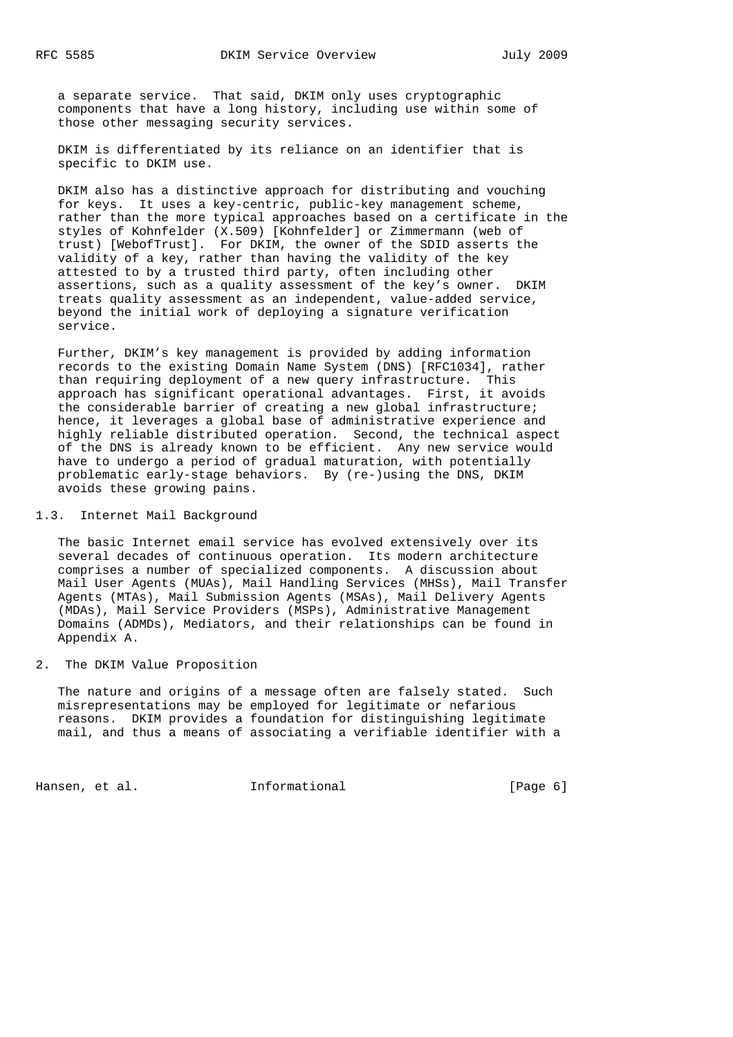a separate service. That said, DKIM only uses cryptographic components that have a long history, including use within some of those other messaging security services.

 DKIM is differentiated by its reliance on an identifier that is specific to DKIM use.

 DKIM also has a distinctive approach for distributing and vouching for keys. It uses a key-centric, public-key management scheme, rather than the more typical approaches based on a certificate in the styles of Kohnfelder (X.509) [Kohnfelder] or Zimmermann (web of trust) [WebofTrust]. For DKIM, the owner of the SDID asserts the validity of a key, rather than having the validity of the key attested to by a trusted third party, often including other assertions, such as a quality assessment of the key's owner. DKIM treats quality assessment as an independent, value-added service, beyond the initial work of deploying a signature verification service.

 Further, DKIM's key management is provided by adding information records to the existing Domain Name System (DNS) [RFC1034], rather than requiring deployment of a new query infrastructure. This approach has significant operational advantages. First, it avoids the considerable barrier of creating a new global infrastructure; hence, it leverages a global base of administrative experience and highly reliable distributed operation. Second, the technical aspect of the DNS is already known to be efficient. Any new service would have to undergo a period of gradual maturation, with potentially problematic early-stage behaviors. By (re-)using the DNS, DKIM avoids these growing pains.

### 1.3. Internet Mail Background

 The basic Internet email service has evolved extensively over its several decades of continuous operation. Its modern architecture comprises a number of specialized components. A discussion about Mail User Agents (MUAs), Mail Handling Services (MHSs), Mail Transfer Agents (MTAs), Mail Submission Agents (MSAs), Mail Delivery Agents (MDAs), Mail Service Providers (MSPs), Administrative Management Domains (ADMDs), Mediators, and their relationships can be found in Appendix A.

### 2. The DKIM Value Proposition

 The nature and origins of a message often are falsely stated. Such misrepresentations may be employed for legitimate or nefarious reasons. DKIM provides a foundation for distinguishing legitimate mail, and thus a means of associating a verifiable identifier with a

Hansen, et al. 1nformational 1999 [Page 6]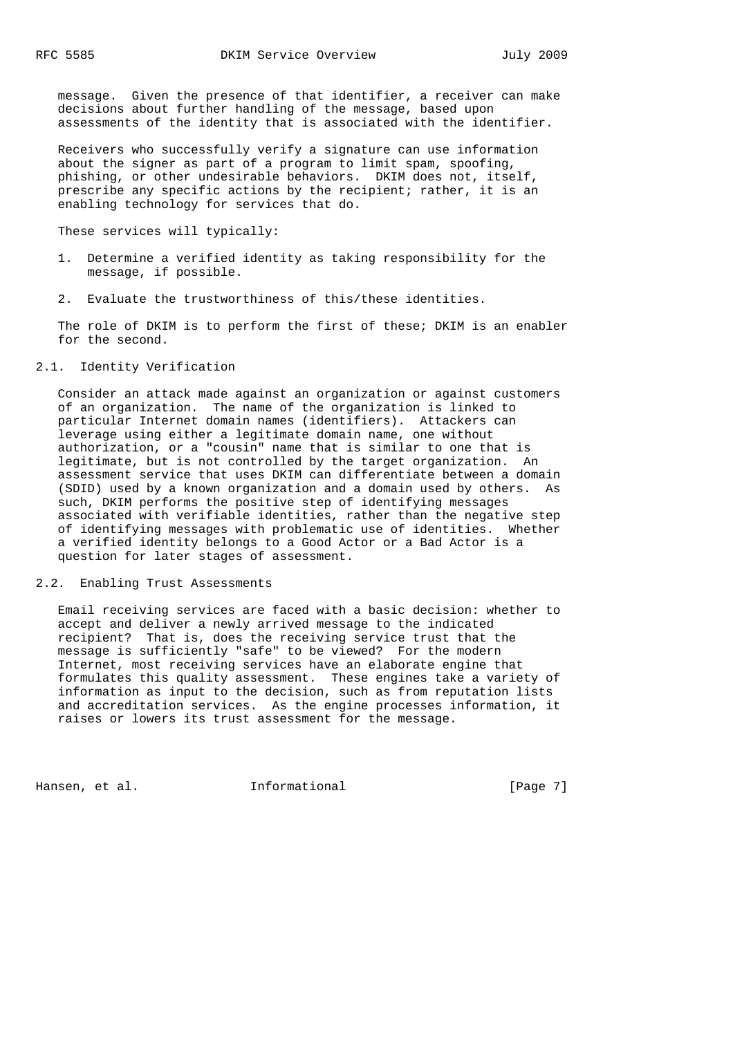message. Given the presence of that identifier, a receiver can make decisions about further handling of the message, based upon assessments of the identity that is associated with the identifier.

 Receivers who successfully verify a signature can use information about the signer as part of a program to limit spam, spoofing, phishing, or other undesirable behaviors. DKIM does not, itself, prescribe any specific actions by the recipient; rather, it is an enabling technology for services that do.

These services will typically:

- 1. Determine a verified identity as taking responsibility for the message, if possible.
- 2. Evaluate the trustworthiness of this/these identities.

 The role of DKIM is to perform the first of these; DKIM is an enabler for the second.

### 2.1. Identity Verification

 Consider an attack made against an organization or against customers of an organization. The name of the organization is linked to particular Internet domain names (identifiers). Attackers can leverage using either a legitimate domain name, one without authorization, or a "cousin" name that is similar to one that is legitimate, but is not controlled by the target organization. An assessment service that uses DKIM can differentiate between a domain (SDID) used by a known organization and a domain used by others. As such, DKIM performs the positive step of identifying messages associated with verifiable identities, rather than the negative step of identifying messages with problematic use of identities. Whether a verified identity belongs to a Good Actor or a Bad Actor is a question for later stages of assessment.

### 2.2. Enabling Trust Assessments

 Email receiving services are faced with a basic decision: whether to accept and deliver a newly arrived message to the indicated recipient? That is, does the receiving service trust that the message is sufficiently "safe" to be viewed? For the modern Internet, most receiving services have an elaborate engine that formulates this quality assessment. These engines take a variety of information as input to the decision, such as from reputation lists and accreditation services. As the engine processes information, it raises or lowers its trust assessment for the message.

Hansen, et al. 1nformational 1999 [Page 7]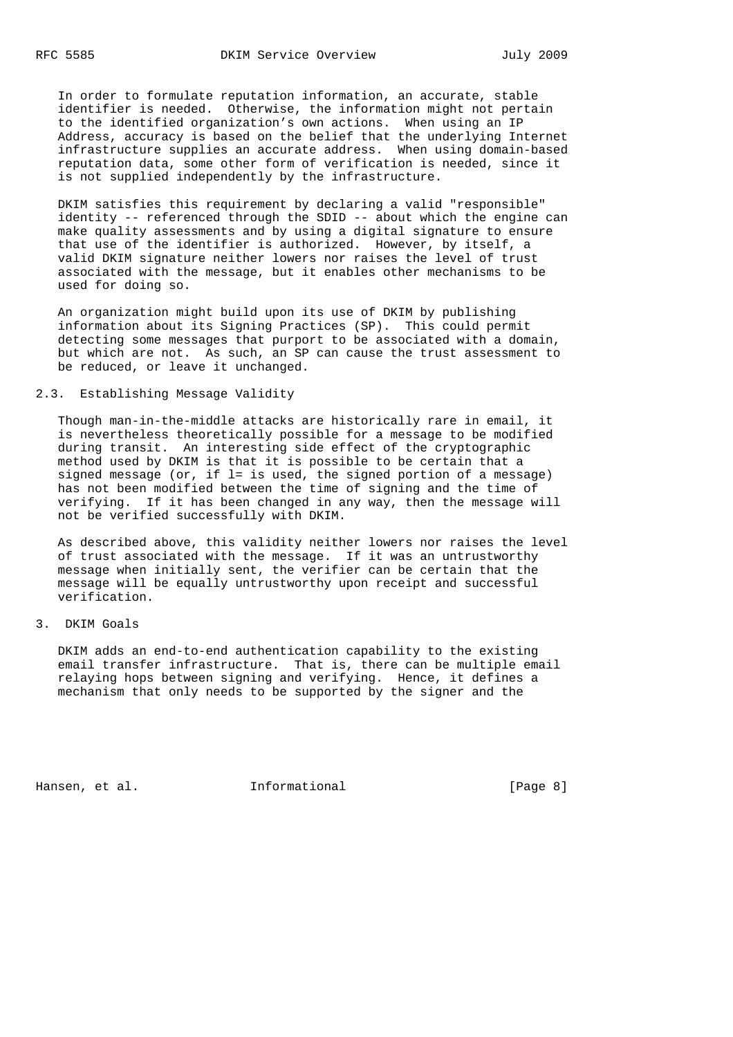In order to formulate reputation information, an accurate, stable identifier is needed. Otherwise, the information might not pertain to the identified organization's own actions. When using an IP Address, accuracy is based on the belief that the underlying Internet infrastructure supplies an accurate address. When using domain-based reputation data, some other form of verification is needed, since it is not supplied independently by the infrastructure.

 DKIM satisfies this requirement by declaring a valid "responsible" identity -- referenced through the SDID -- about which the engine can make quality assessments and by using a digital signature to ensure that use of the identifier is authorized. However, by itself, a valid DKIM signature neither lowers nor raises the level of trust associated with the message, but it enables other mechanisms to be used for doing so.

 An organization might build upon its use of DKIM by publishing information about its Signing Practices (SP). This could permit detecting some messages that purport to be associated with a domain, but which are not. As such, an SP can cause the trust assessment to be reduced, or leave it unchanged.

## 2.3. Establishing Message Validity

 Though man-in-the-middle attacks are historically rare in email, it is nevertheless theoretically possible for a message to be modified during transit. An interesting side effect of the cryptographic method used by DKIM is that it is possible to be certain that a signed message (or, if l= is used, the signed portion of a message) has not been modified between the time of signing and the time of verifying. If it has been changed in any way, then the message will not be verified successfully with DKIM.

 As described above, this validity neither lowers nor raises the level of trust associated with the message. If it was an untrustworthy message when initially sent, the verifier can be certain that the message will be equally untrustworthy upon receipt and successful verification.

# 3. DKIM Goals

 DKIM adds an end-to-end authentication capability to the existing email transfer infrastructure. That is, there can be multiple email relaying hops between signing and verifying. Hence, it defines a mechanism that only needs to be supported by the signer and the

Hansen, et al. 1nformational 1999 [Page 8]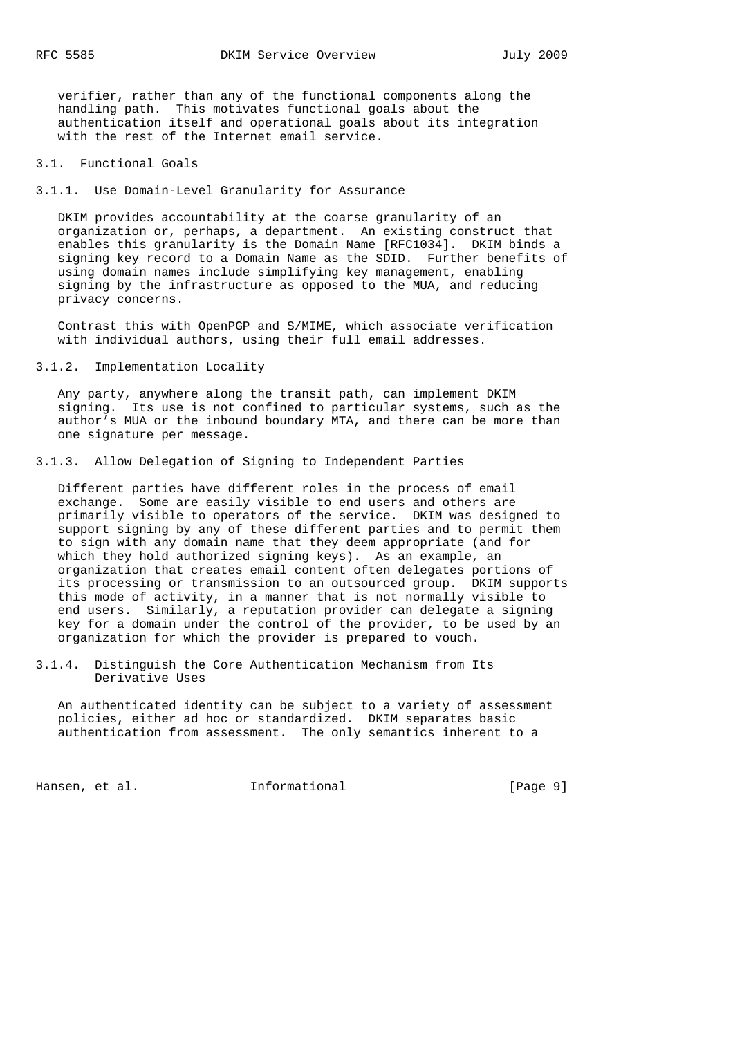verifier, rather than any of the functional components along the handling path. This motivates functional goals about the authentication itself and operational goals about its integration with the rest of the Internet email service.

### 3.1. Functional Goals

3.1.1. Use Domain-Level Granularity for Assurance

 DKIM provides accountability at the coarse granularity of an organization or, perhaps, a department. An existing construct that enables this granularity is the Domain Name [RFC1034]. DKIM binds a signing key record to a Domain Name as the SDID. Further benefits of using domain names include simplifying key management, enabling signing by the infrastructure as opposed to the MUA, and reducing privacy concerns.

 Contrast this with OpenPGP and S/MIME, which associate verification with individual authors, using their full email addresses.

### 3.1.2. Implementation Locality

 Any party, anywhere along the transit path, can implement DKIM signing. Its use is not confined to particular systems, such as the author's MUA or the inbound boundary MTA, and there can be more than one signature per message.

3.1.3. Allow Delegation of Signing to Independent Parties

 Different parties have different roles in the process of email exchange. Some are easily visible to end users and others are primarily visible to operators of the service. DKIM was designed to support signing by any of these different parties and to permit them to sign with any domain name that they deem appropriate (and for which they hold authorized signing keys). As an example, an organization that creates email content often delegates portions of its processing or transmission to an outsourced group. DKIM supports this mode of activity, in a manner that is not normally visible to end users. Similarly, a reputation provider can delegate a signing key for a domain under the control of the provider, to be used by an organization for which the provider is prepared to vouch.

3.1.4. Distinguish the Core Authentication Mechanism from Its Derivative Uses

 An authenticated identity can be subject to a variety of assessment policies, either ad hoc or standardized. DKIM separates basic authentication from assessment. The only semantics inherent to a

Hansen, et al. 1nformational 1999 [Page 9]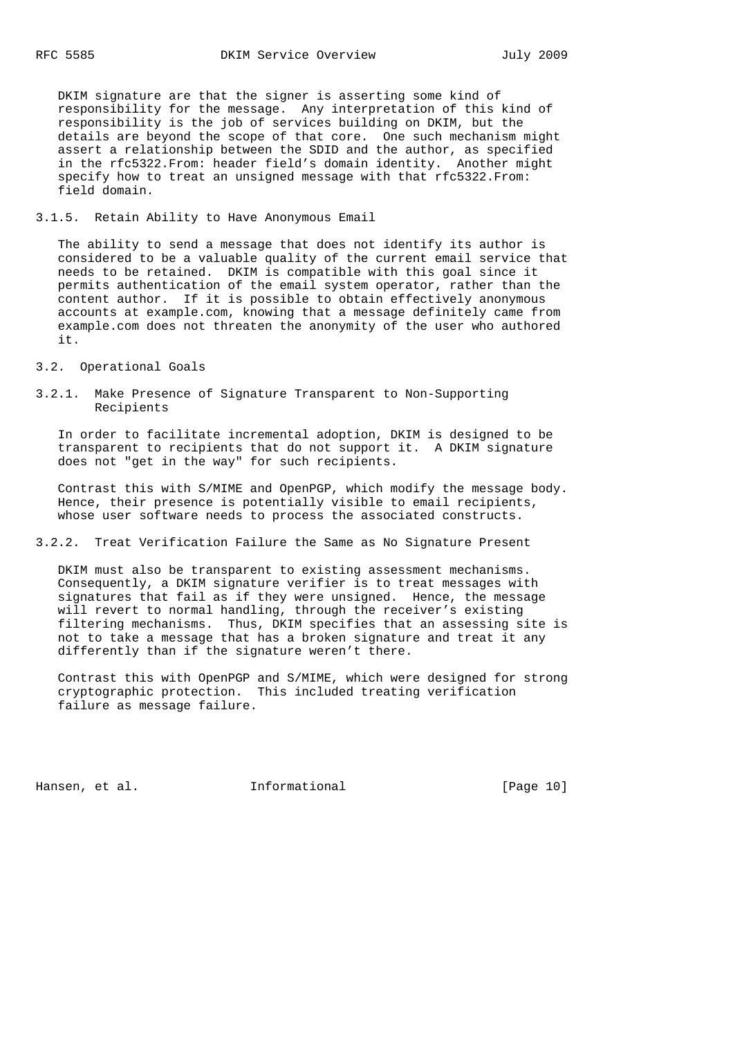DKIM signature are that the signer is asserting some kind of responsibility for the message. Any interpretation of this kind of responsibility is the job of services building on DKIM, but the details are beyond the scope of that core. One such mechanism might assert a relationship between the SDID and the author, as specified in the rfc5322.From: header field's domain identity. Another might specify how to treat an unsigned message with that rfc5322.From: field domain.

### 3.1.5. Retain Ability to Have Anonymous Email

 The ability to send a message that does not identify its author is considered to be a valuable quality of the current email service that needs to be retained. DKIM is compatible with this goal since it permits authentication of the email system operator, rather than the content author. If it is possible to obtain effectively anonymous accounts at example.com, knowing that a message definitely came from example.com does not threaten the anonymity of the user who authored it.

- 3.2. Operational Goals
- 3.2.1. Make Presence of Signature Transparent to Non-Supporting Recipients

 In order to facilitate incremental adoption, DKIM is designed to be transparent to recipients that do not support it. A DKIM signature does not "get in the way" for such recipients.

 Contrast this with S/MIME and OpenPGP, which modify the message body. Hence, their presence is potentially visible to email recipients, whose user software needs to process the associated constructs.

3.2.2. Treat Verification Failure the Same as No Signature Present

 DKIM must also be transparent to existing assessment mechanisms. Consequently, a DKIM signature verifier is to treat messages with signatures that fail as if they were unsigned. Hence, the message will revert to normal handling, through the receiver's existing filtering mechanisms. Thus, DKIM specifies that an assessing site is not to take a message that has a broken signature and treat it any differently than if the signature weren't there.

 Contrast this with OpenPGP and S/MIME, which were designed for strong cryptographic protection. This included treating verification failure as message failure.

Hansen, et al. 1nformational [Page 10]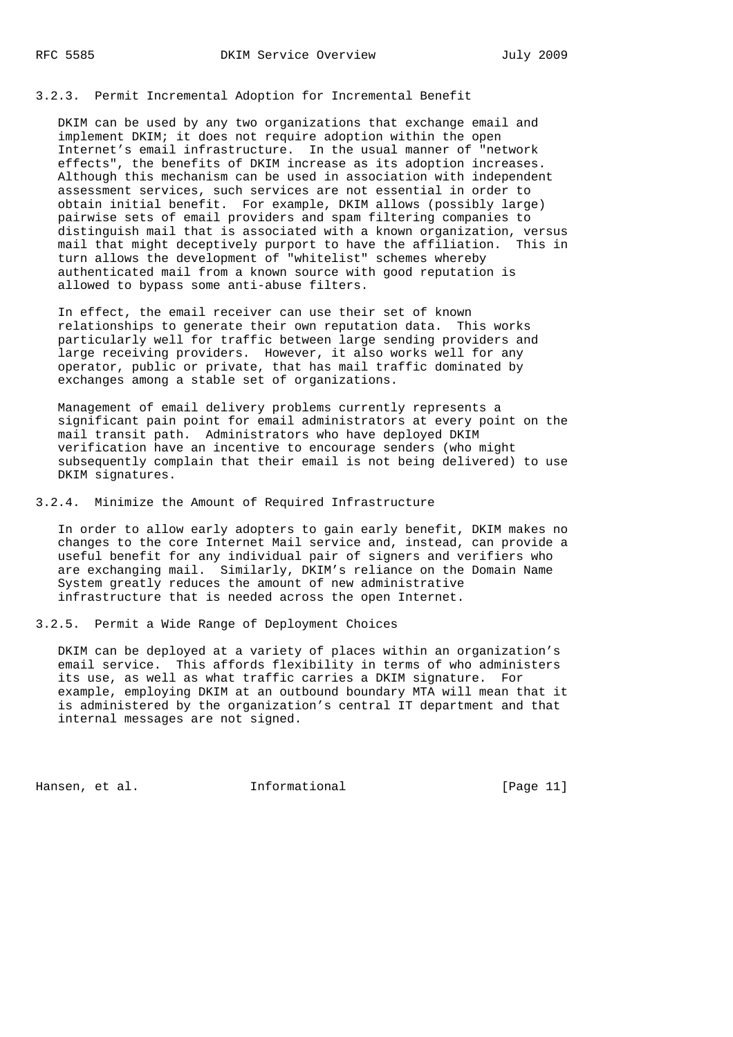### 3.2.3. Permit Incremental Adoption for Incremental Benefit

 DKIM can be used by any two organizations that exchange email and implement DKIM; it does not require adoption within the open Internet's email infrastructure. In the usual manner of "network effects", the benefits of DKIM increase as its adoption increases. Although this mechanism can be used in association with independent assessment services, such services are not essential in order to obtain initial benefit. For example, DKIM allows (possibly large) pairwise sets of email providers and spam filtering companies to distinguish mail that is associated with a known organization, versus mail that might deceptively purport to have the affiliation. This in turn allows the development of "whitelist" schemes whereby authenticated mail from a known source with good reputation is allowed to bypass some anti-abuse filters.

 In effect, the email receiver can use their set of known relationships to generate their own reputation data. This works particularly well for traffic between large sending providers and large receiving providers. However, it also works well for any operator, public or private, that has mail traffic dominated by exchanges among a stable set of organizations.

 Management of email delivery problems currently represents a significant pain point for email administrators at every point on the mail transit path. Administrators who have deployed DKIM verification have an incentive to encourage senders (who might subsequently complain that their email is not being delivered) to use DKIM signatures.

3.2.4. Minimize the Amount of Required Infrastructure

 In order to allow early adopters to gain early benefit, DKIM makes no changes to the core Internet Mail service and, instead, can provide a useful benefit for any individual pair of signers and verifiers who are exchanging mail. Similarly, DKIM's reliance on the Domain Name System greatly reduces the amount of new administrative infrastructure that is needed across the open Internet.

3.2.5. Permit a Wide Range of Deployment Choices

 DKIM can be deployed at a variety of places within an organization's email service. This affords flexibility in terms of who administers its use, as well as what traffic carries a DKIM signature. For example, employing DKIM at an outbound boundary MTA will mean that it is administered by the organization's central IT department and that internal messages are not signed.

Hansen, et al. **Informational** [Page 11]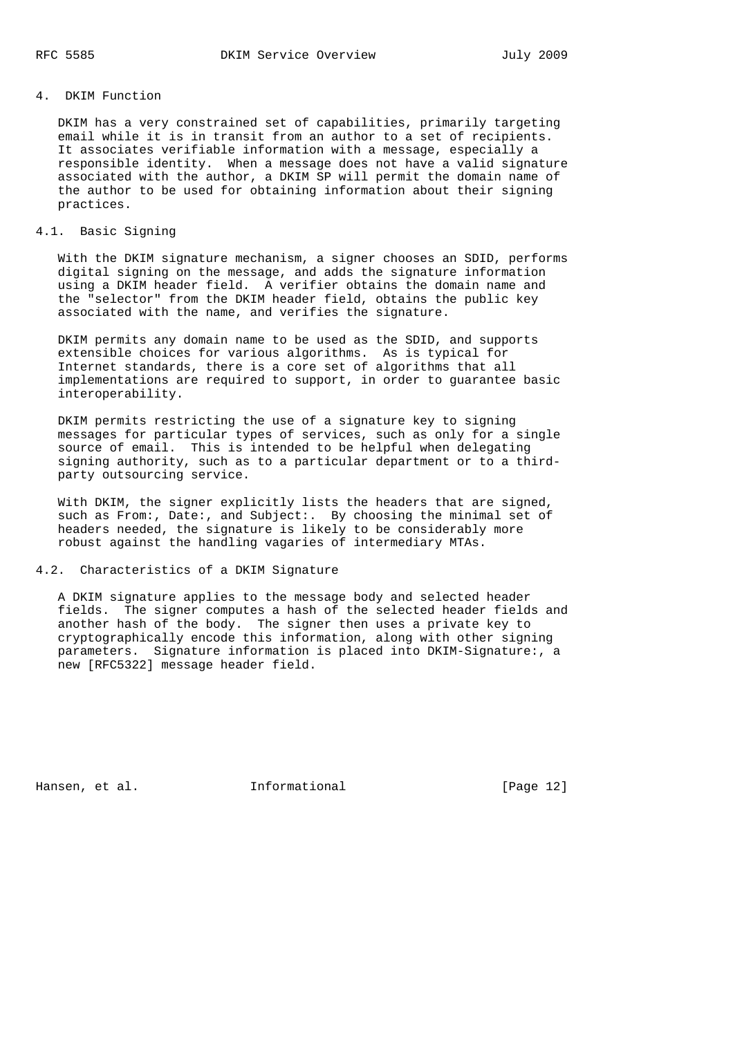# 4. DKIM Function

 DKIM has a very constrained set of capabilities, primarily targeting email while it is in transit from an author to a set of recipients. It associates verifiable information with a message, especially a responsible identity. When a message does not have a valid signature associated with the author, a DKIM SP will permit the domain name of the author to be used for obtaining information about their signing practices.

### 4.1. Basic Signing

 With the DKIM signature mechanism, a signer chooses an SDID, performs digital signing on the message, and adds the signature information using a DKIM header field. A verifier obtains the domain name and the "selector" from the DKIM header field, obtains the public key associated with the name, and verifies the signature.

 DKIM permits any domain name to be used as the SDID, and supports extensible choices for various algorithms. As is typical for Internet standards, there is a core set of algorithms that all implementations are required to support, in order to guarantee basic interoperability.

 DKIM permits restricting the use of a signature key to signing messages for particular types of services, such as only for a single source of email. This is intended to be helpful when delegating signing authority, such as to a particular department or to a third party outsourcing service.

 With DKIM, the signer explicitly lists the headers that are signed, such as From:, Date:, and Subject:. By choosing the minimal set of headers needed, the signature is likely to be considerably more robust against the handling vagaries of intermediary MTAs.

4.2. Characteristics of a DKIM Signature

 A DKIM signature applies to the message body and selected header fields. The signer computes a hash of the selected header fields and another hash of the body. The signer then uses a private key to cryptographically encode this information, along with other signing parameters. Signature information is placed into DKIM-Signature:, a new [RFC5322] message header field.

Hansen, et al. 1nformational [Page 12]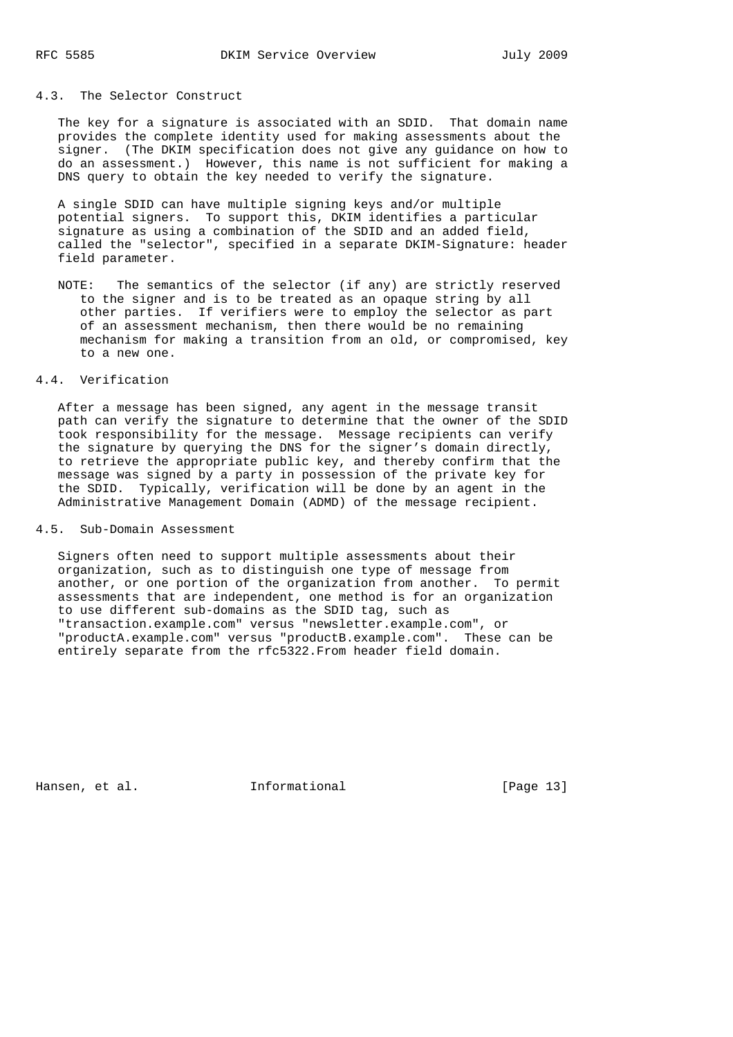### 4.3. The Selector Construct

 The key for a signature is associated with an SDID. That domain name provides the complete identity used for making assessments about the signer. (The DKIM specification does not give any guidance on how to do an assessment.) However, this name is not sufficient for making a DNS query to obtain the key needed to verify the signature.

 A single SDID can have multiple signing keys and/or multiple potential signers. To support this, DKIM identifies a particular signature as using a combination of the SDID and an added field, called the "selector", specified in a separate DKIM-Signature: header field parameter.

 NOTE: The semantics of the selector (if any) are strictly reserved to the signer and is to be treated as an opaque string by all other parties. If verifiers were to employ the selector as part of an assessment mechanism, then there would be no remaining mechanism for making a transition from an old, or compromised, key to a new one.

# 4.4. Verification

 After a message has been signed, any agent in the message transit path can verify the signature to determine that the owner of the SDID took responsibility for the message. Message recipients can verify the signature by querying the DNS for the signer's domain directly, to retrieve the appropriate public key, and thereby confirm that the message was signed by a party in possession of the private key for the SDID. Typically, verification will be done by an agent in the Administrative Management Domain (ADMD) of the message recipient.

4.5. Sub-Domain Assessment

 Signers often need to support multiple assessments about their organization, such as to distinguish one type of message from another, or one portion of the organization from another. To permit assessments that are independent, one method is for an organization to use different sub-domains as the SDID tag, such as "transaction.example.com" versus "newsletter.example.com", or "productA.example.com" versus "productB.example.com". These can be entirely separate from the rfc5322.From header field domain.

Hansen, et al. 1nformational [Page 13]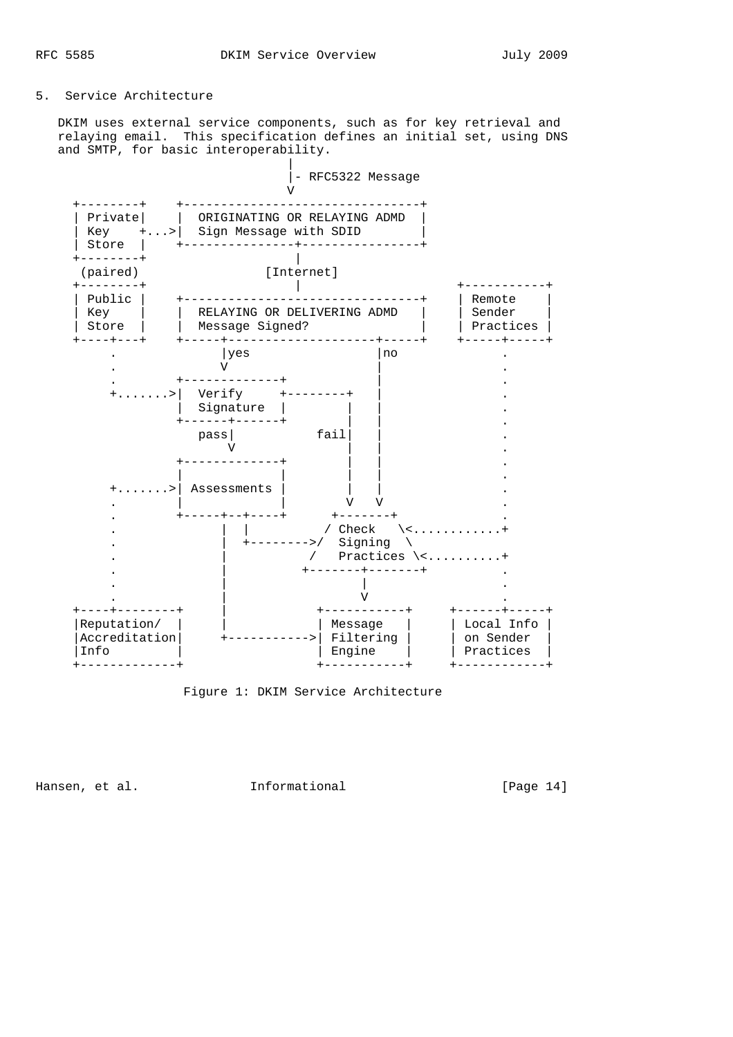# 5. Service Architecture

 DKIM uses external service components, such as for key retrieval and relaying email. This specification defines an initial set, using DNS and SMTP, for basic interoperability.



Figure 1: DKIM Service Architecture

Hansen, et al. 1nformational 1999 [Page 14]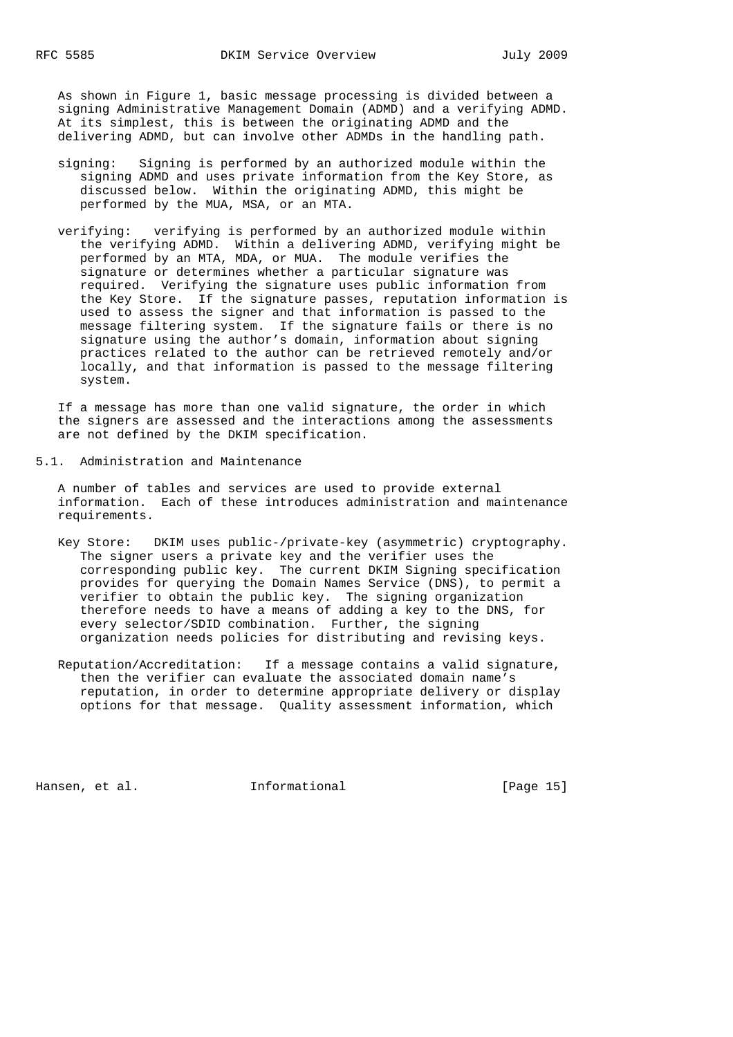As shown in Figure 1, basic message processing is divided between a signing Administrative Management Domain (ADMD) and a verifying ADMD. At its simplest, this is between the originating ADMD and the delivering ADMD, but can involve other ADMDs in the handling path.

- signing: Signing is performed by an authorized module within the signing ADMD and uses private information from the Key Store, as discussed below. Within the originating ADMD, this might be performed by the MUA, MSA, or an MTA.
- verifying: verifying is performed by an authorized module within the verifying ADMD. Within a delivering ADMD, verifying might be performed by an MTA, MDA, or MUA. The module verifies the signature or determines whether a particular signature was required. Verifying the signature uses public information from the Key Store. If the signature passes, reputation information is used to assess the signer and that information is passed to the message filtering system. If the signature fails or there is no signature using the author's domain, information about signing practices related to the author can be retrieved remotely and/or locally, and that information is passed to the message filtering system.

 If a message has more than one valid signature, the order in which the signers are assessed and the interactions among the assessments are not defined by the DKIM specification.

5.1. Administration and Maintenance

 A number of tables and services are used to provide external information. Each of these introduces administration and maintenance requirements.

- Key Store: DKIM uses public-/private-key (asymmetric) cryptography. The signer users a private key and the verifier uses the corresponding public key. The current DKIM Signing specification provides for querying the Domain Names Service (DNS), to permit a verifier to obtain the public key. The signing organization therefore needs to have a means of adding a key to the DNS, for every selector/SDID combination. Further, the signing organization needs policies for distributing and revising keys.
- Reputation/Accreditation: If a message contains a valid signature, then the verifier can evaluate the associated domain name's reputation, in order to determine appropriate delivery or display options for that message. Quality assessment information, which

Hansen, et al. 1nformational 1999 [Page 15]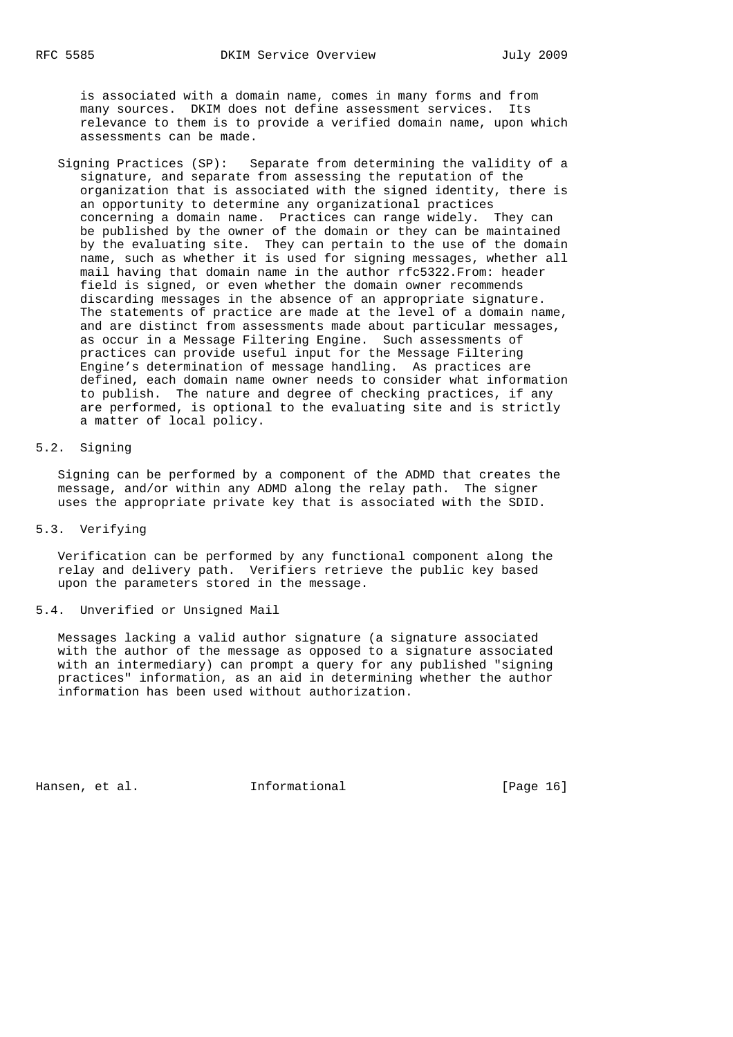is associated with a domain name, comes in many forms and from many sources. DKIM does not define assessment services. Its relevance to them is to provide a verified domain name, upon which assessments can be made.

 Signing Practices (SP): Separate from determining the validity of a signature, and separate from assessing the reputation of the organization that is associated with the signed identity, there is an opportunity to determine any organizational practices concerning a domain name. Practices can range widely. They can be published by the owner of the domain or they can be maintained by the evaluating site. They can pertain to the use of the domain name, such as whether it is used for signing messages, whether all mail having that domain name in the author rfc5322.From: header field is signed, or even whether the domain owner recommends discarding messages in the absence of an appropriate signature. The statements of practice are made at the level of a domain name, and are distinct from assessments made about particular messages, as occur in a Message Filtering Engine. Such assessments of practices can provide useful input for the Message Filtering Engine's determination of message handling. As practices are defined, each domain name owner needs to consider what information to publish. The nature and degree of checking practices, if any are performed, is optional to the evaluating site and is strictly a matter of local policy.

# 5.2. Signing

 Signing can be performed by a component of the ADMD that creates the message, and/or within any ADMD along the relay path. The signer uses the appropriate private key that is associated with the SDID.

### 5.3. Verifying

 Verification can be performed by any functional component along the relay and delivery path. Verifiers retrieve the public key based upon the parameters stored in the message.

### 5.4. Unverified or Unsigned Mail

 Messages lacking a valid author signature (a signature associated with the author of the message as opposed to a signature associated with an intermediary) can prompt a query for any published "signing practices" information, as an aid in determining whether the author information has been used without authorization.

Hansen, et al. 1nformational [Page 16]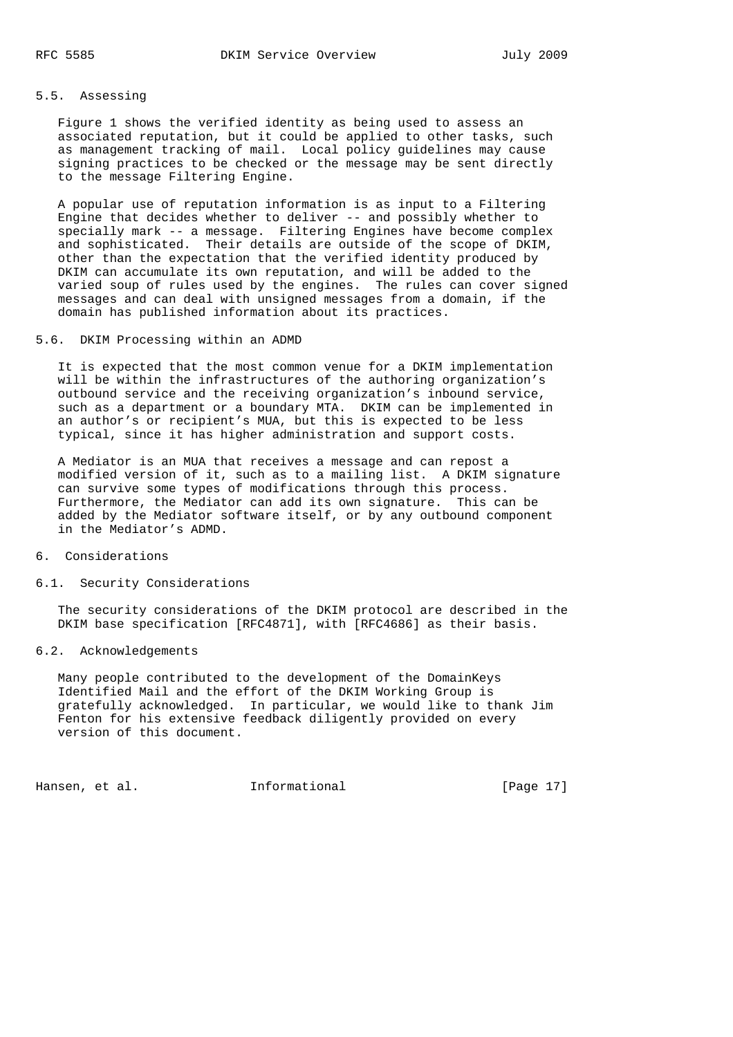## 5.5. Assessing

 Figure 1 shows the verified identity as being used to assess an associated reputation, but it could be applied to other tasks, such as management tracking of mail. Local policy guidelines may cause signing practices to be checked or the message may be sent directly to the message Filtering Engine.

 A popular use of reputation information is as input to a Filtering Engine that decides whether to deliver -- and possibly whether to specially mark -- a message. Filtering Engines have become complex and sophisticated. Their details are outside of the scope of DKIM, other than the expectation that the verified identity produced by DKIM can accumulate its own reputation, and will be added to the varied soup of rules used by the engines. The rules can cover signed messages and can deal with unsigned messages from a domain, if the domain has published information about its practices.

### 5.6. DKIM Processing within an ADMD

 It is expected that the most common venue for a DKIM implementation will be within the infrastructures of the authoring organization's outbound service and the receiving organization's inbound service, such as a department or a boundary MTA. DKIM can be implemented in an author's or recipient's MUA, but this is expected to be less typical, since it has higher administration and support costs.

 A Mediator is an MUA that receives a message and can repost a modified version of it, such as to a mailing list. A DKIM signature can survive some types of modifications through this process. Furthermore, the Mediator can add its own signature. This can be added by the Mediator software itself, or by any outbound component in the Mediator's ADMD.

#### 6. Considerations

#### 6.1. Security Considerations

 The security considerations of the DKIM protocol are described in the DKIM base specification [RFC4871], with [RFC4686] as their basis.

## 6.2. Acknowledgements

 Many people contributed to the development of the DomainKeys Identified Mail and the effort of the DKIM Working Group is gratefully acknowledged. In particular, we would like to thank Jim Fenton for his extensive feedback diligently provided on every version of this document.

Hansen, et al. **Informational** [Page 17]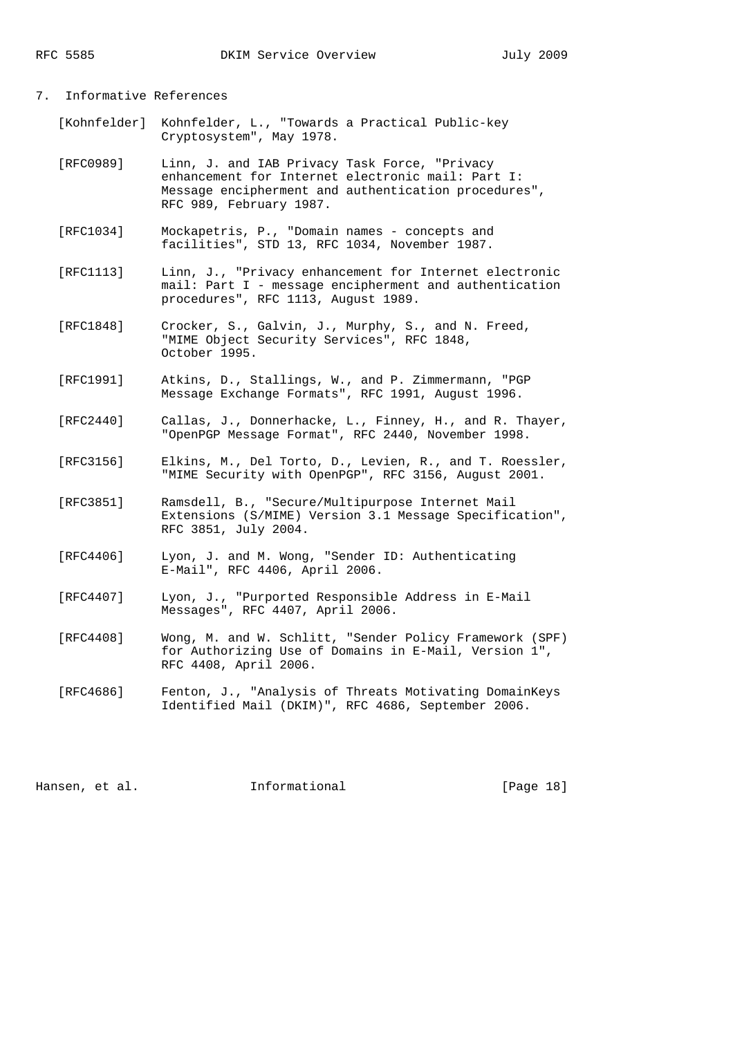## 7. Informative References

- [Kohnfelder] Kohnfelder, L., "Towards a Practical Public-key Cryptosystem", May 1978.
- [RFC0989] Linn, J. and IAB Privacy Task Force, "Privacy enhancement for Internet electronic mail: Part I: Message encipherment and authentication procedures", RFC 989, February 1987.
- [RFC1034] Mockapetris, P., "Domain names concepts and facilities", STD 13, RFC 1034, November 1987.
- [RFC1113] Linn, J., "Privacy enhancement for Internet electronic mail: Part I - message encipherment and authentication procedures", RFC 1113, August 1989.
- [RFC1848] Crocker, S., Galvin, J., Murphy, S., and N. Freed, "MIME Object Security Services", RFC 1848, October 1995.
- [RFC1991] Atkins, D., Stallings, W., and P. Zimmermann, "PGP Message Exchange Formats", RFC 1991, August 1996.
- [RFC2440] Callas, J., Donnerhacke, L., Finney, H., and R. Thayer, "OpenPGP Message Format", RFC 2440, November 1998.
- [RFC3156] Elkins, M., Del Torto, D., Levien, R., and T. Roessler, "MIME Security with OpenPGP", RFC 3156, August 2001.
- [RFC3851] Ramsdell, B., "Secure/Multipurpose Internet Mail Extensions (S/MIME) Version 3.1 Message Specification", RFC 3851, July 2004.
- [RFC4406] Lyon, J. and M. Wong, "Sender ID: Authenticating E-Mail", RFC 4406, April 2006.
- [RFC4407] Lyon, J., "Purported Responsible Address in E-Mail Messages", RFC 4407, April 2006.
- [RFC4408] Wong, M. and W. Schlitt, "Sender Policy Framework (SPF) for Authorizing Use of Domains in E-Mail, Version 1", RFC 4408, April 2006.
- [RFC4686] Fenton, J., "Analysis of Threats Motivating DomainKeys Identified Mail (DKIM)", RFC 4686, September 2006.

Hansen, et al. **Informational** [Page 18]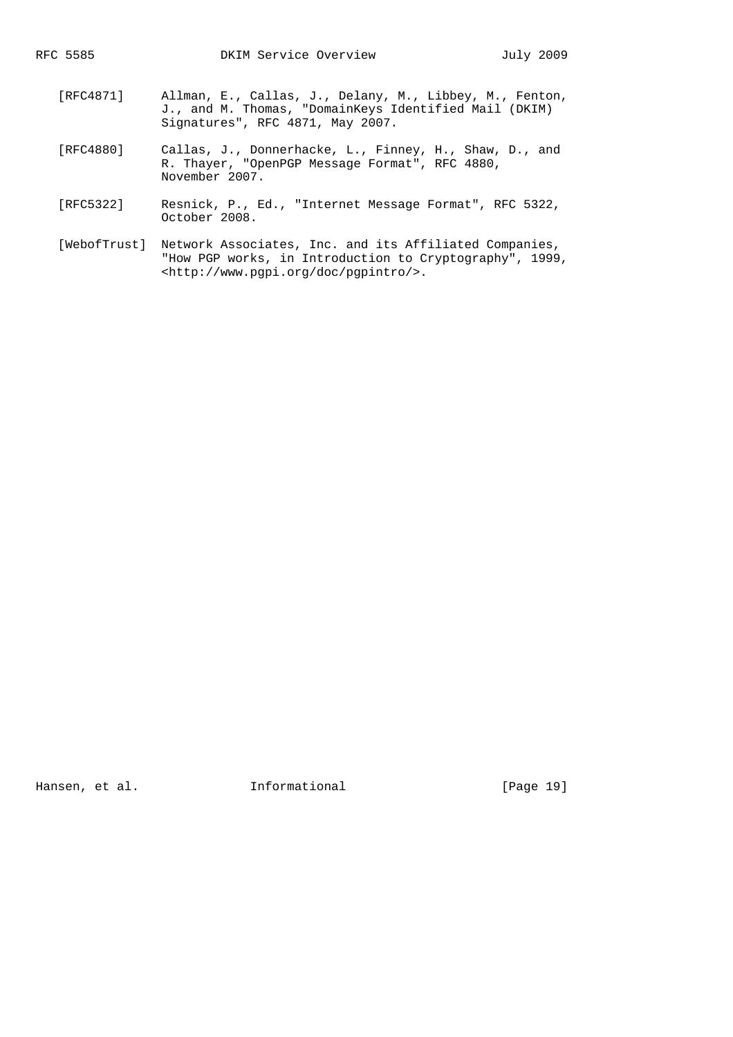- [RFC4871] Allman, E., Callas, J., Delany, M., Libbey, M., Fenton, J., and M. Thomas, "DomainKeys Identified Mail (DKIM) Signatures", RFC 4871, May 2007.
	- [RFC4880] Callas, J., Donnerhacke, L., Finney, H., Shaw, D., and R. Thayer, "OpenPGP Message Format", RFC 4880, November 2007.
	- [RFC5322] Resnick, P., Ed., "Internet Message Format", RFC 5322, October 2008.
	- [WebofTrust] Network Associates, Inc. and its Affiliated Companies, "How PGP works, in Introduction to Cryptography", 1999, <http://www.pgpi.org/doc/pgpintro/>.

Hansen, et al. 1nformational [Page 19]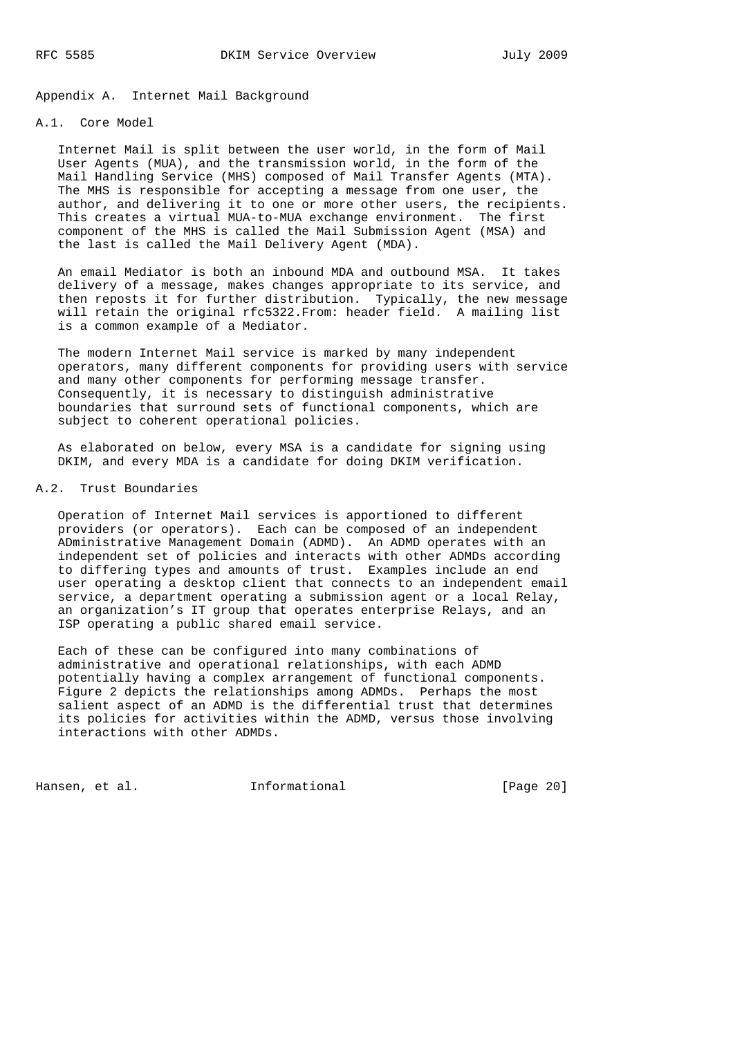Appendix A. Internet Mail Background

### A.1. Core Model

 Internet Mail is split between the user world, in the form of Mail User Agents (MUA), and the transmission world, in the form of the Mail Handling Service (MHS) composed of Mail Transfer Agents (MTA). The MHS is responsible for accepting a message from one user, the author, and delivering it to one or more other users, the recipients. This creates a virtual MUA-to-MUA exchange environment. The first component of the MHS is called the Mail Submission Agent (MSA) and the last is called the Mail Delivery Agent (MDA).

 An email Mediator is both an inbound MDA and outbound MSA. It takes delivery of a message, makes changes appropriate to its service, and then reposts it for further distribution. Typically, the new message will retain the original rfc5322.From: header field. A mailing list is a common example of a Mediator.

 The modern Internet Mail service is marked by many independent operators, many different components for providing users with service and many other components for performing message transfer. Consequently, it is necessary to distinguish administrative boundaries that surround sets of functional components, which are subject to coherent operational policies.

 As elaborated on below, every MSA is a candidate for signing using DKIM, and every MDA is a candidate for doing DKIM verification.

### A.2. Trust Boundaries

 Operation of Internet Mail services is apportioned to different providers (or operators). Each can be composed of an independent ADministrative Management Domain (ADMD). An ADMD operates with an independent set of policies and interacts with other ADMDs according to differing types and amounts of trust. Examples include an end user operating a desktop client that connects to an independent email service, a department operating a submission agent or a local Relay, an organization's IT group that operates enterprise Relays, and an ISP operating a public shared email service.

 Each of these can be configured into many combinations of administrative and operational relationships, with each ADMD potentially having a complex arrangement of functional components. Figure 2 depicts the relationships among ADMDs. Perhaps the most salient aspect of an ADMD is the differential trust that determines its policies for activities within the ADMD, versus those involving interactions with other ADMDs.

Hansen, et al. **Informational** [Page 20]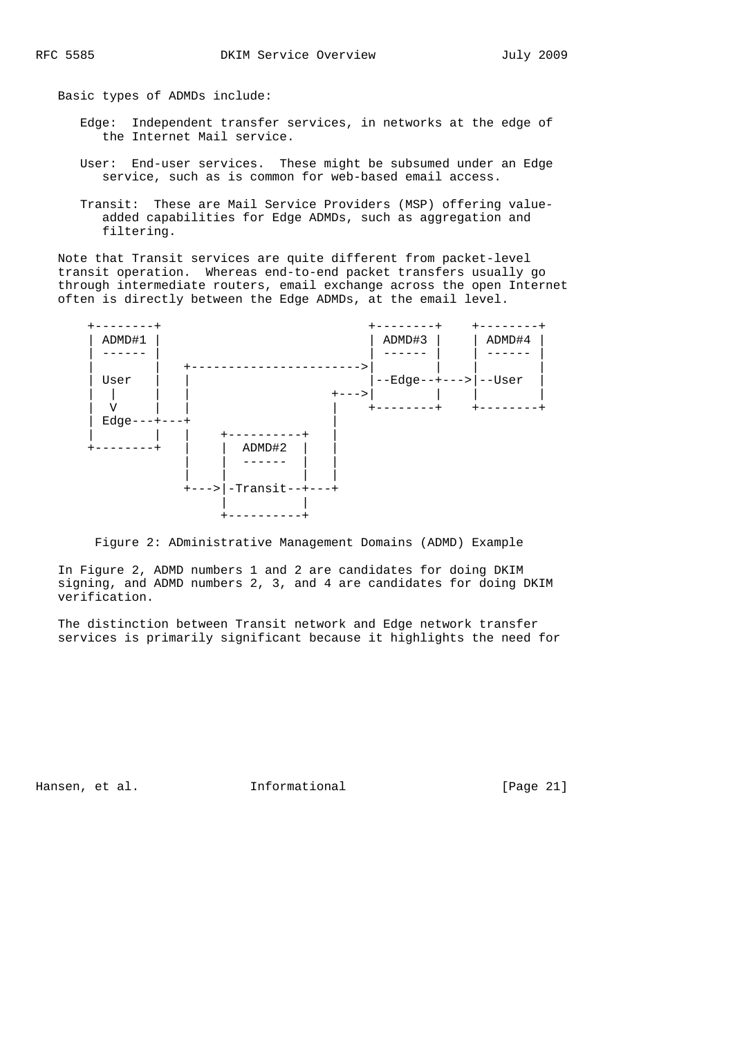Basic types of ADMDs include:

- Edge: Independent transfer services, in networks at the edge of the Internet Mail service.
- User: End-user services. These might be subsumed under an Edge service, such as is common for web-based email access.
- Transit: These are Mail Service Providers (MSP) offering value added capabilities for Edge ADMDs, such as aggregation and filtering.

 Note that Transit services are quite different from packet-level transit operation. Whereas end-to-end packet transfers usually go through intermediate routers, email exchange across the open Internet often is directly between the Edge ADMDs, at the email level.



Figure 2: ADministrative Management Domains (ADMD) Example

 In Figure 2, ADMD numbers 1 and 2 are candidates for doing DKIM signing, and ADMD numbers 2, 3, and 4 are candidates for doing DKIM verification.

 The distinction between Transit network and Edge network transfer services is primarily significant because it highlights the need for

Hansen, et al. 1nformational 1999 [Page 21]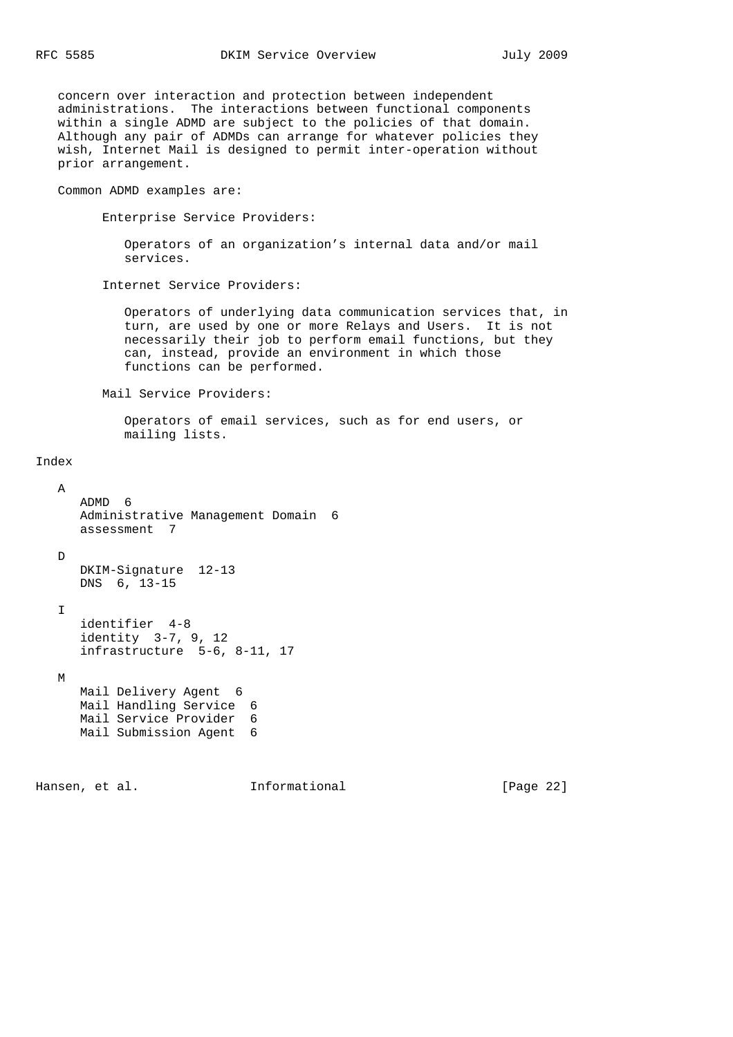concern over interaction and protection between independent administrations. The interactions between functional components within a single ADMD are subject to the policies of that domain. Although any pair of ADMDs can arrange for whatever policies they wish, Internet Mail is designed to permit inter-operation without prior arrangement.

Common ADMD examples are:

Enterprise Service Providers:

 Operators of an organization's internal data and/or mail services.

Internet Service Providers:

 Operators of underlying data communication services that, in turn, are used by one or more Relays and Users. It is not necessarily their job to perform email functions, but they can, instead, provide an environment in which those functions can be performed.

Mail Service Providers:

 Operators of email services, such as for end users, or mailing lists.

# Index

```
 A
    ADMD 6
    Administrative Management Domain 6
    assessment 7
 D
    DKIM-Signature 12-13
    DNS 6, 13-15
 I
    identifier 4-8
    identity 3-7, 9, 12
    infrastructure 5-6, 8-11, 17
 M
    Mail Delivery Agent 6
    Mail Handling Service 6
    Mail Service Provider 6
    Mail Submission Agent 6
```
Hansen, et al. **Informational** [Page 22]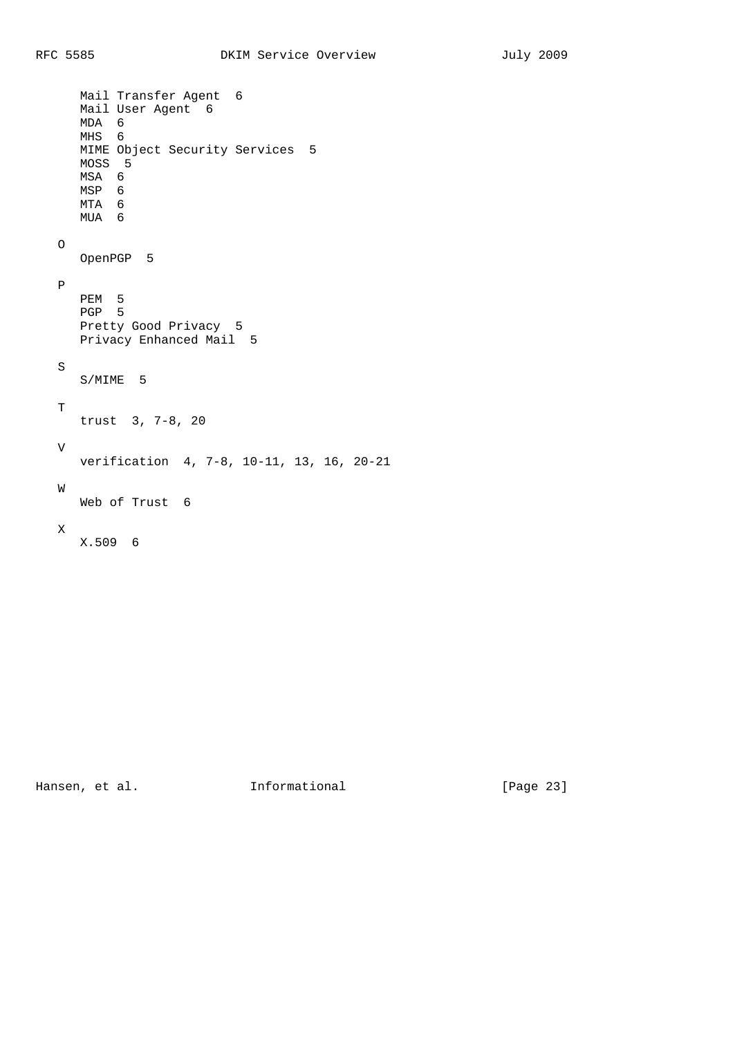```
 Mail Transfer Agent 6
    Mail User Agent 6
    MDA 6
    MHS 6
    MIME Object Security Services 5
    MOSS 5
    MSA 6
    MSP 6
    MTA 6
    MUA 6
 O
    OpenPGP 5
 P
   PEM 5
   PGP 5
   Pretty Good Privacy 5
   Privacy Enhanced Mail 5
 S
   S/MIME 5
\mathbf T trust 3, 7-8, 20
 V
   verification 4, 7-8, 10-11, 13, 16, 20-21
 W
   Web of Trust 6
 X
   X.509 6
```
Hansen, et al. 1nformational [Page 23]